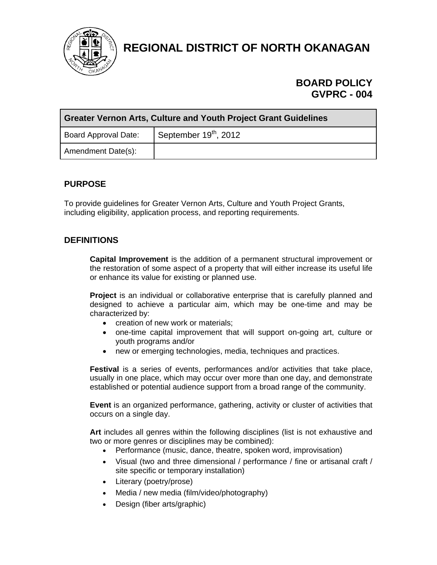

**REGIONAL DISTRICT OF NORTH OKANAGAN** 

# **BOARD POLICY GVPRC - 004**

| <b>Greater Vernon Arts, Culture and Youth Project Grant Guidelines</b> |                         |  |  |
|------------------------------------------------------------------------|-------------------------|--|--|
| Board Approval Date:                                                   | September $19th$ , 2012 |  |  |
| Amendment Date(s):                                                     |                         |  |  |

# **PURPOSE**

To provide guidelines for Greater Vernon Arts, Culture and Youth Project Grants, including eligibility, application process, and reporting requirements.

# **DEFINITIONS**

**Capital Improvement** is the addition of a permanent structural improvement or the restoration of some aspect of a property that will either increase its useful life or enhance its value for existing or planned use.

**Project** is an individual or collaborative enterprise that is carefully planned and designed to achieve a particular aim, which may be one-time and may be characterized by:

- creation of new work or materials;
- one-time capital improvement that will support on-going art, culture or youth programs and/or
- new or emerging technologies, media, techniques and practices.

**Festival** is a series of events, performances and/or activities that take place, usually in one place, which may occur over more than one day, and demonstrate established or potential audience support from a broad range of the community.

**Event** is an organized performance, gathering, activity or cluster of activities that occurs on a single day.

**Art** includes all genres within the following disciplines (list is not exhaustive and two or more genres or disciplines may be combined):

- Performance (music, dance, theatre, spoken word, improvisation)
- Visual (two and three dimensional / performance / fine or artisanal craft / site specific or temporary installation)
- Literary (poetry/prose)
- Media / new media (film/video/photography)
- Design (fiber arts/graphic)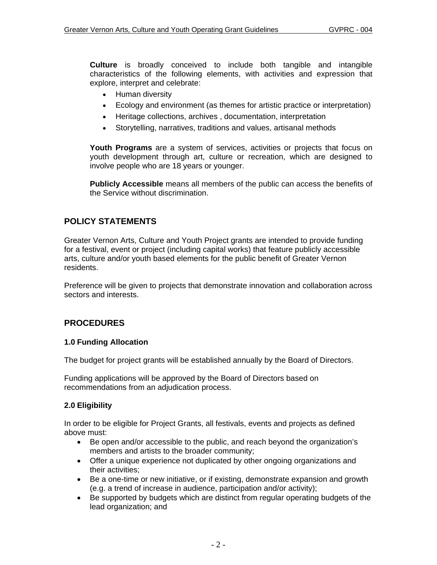**Culture** is broadly conceived to include both tangible and intangible characteristics of the following elements, with activities and expression that explore, interpret and celebrate:

- Human diversity
- Ecology and environment (as themes for artistic practice or interpretation)
- Heritage collections, archives , documentation, interpretation
- Storytelling, narratives, traditions and values, artisanal methods

**Youth Programs** are a system of services, activities or projects that focus on youth development through art, culture or recreation, which are designed to involve people who are 18 years or younger.

**Publicly Accessible** means all members of the public can access the benefits of the Service without discrimination.

# **POLICY STATEMENTS**

Greater Vernon Arts, Culture and Youth Project grants are intended to provide funding for a festival, event or project (including capital works) that feature publicly accessible arts, culture and/or youth based elements for the public benefit of Greater Vernon residents.

Preference will be given to projects that demonstrate innovation and collaboration across sectors and interests.

# **PROCEDURES**

### **1.0 Funding Allocation**

The budget for project grants will be established annually by the Board of Directors.

Funding applications will be approved by the Board of Directors based on recommendations from an adjudication process.

## **2.0 Eligibility**

In order to be eligible for Project Grants, all festivals, events and projects as defined above must:

- Be open and/or accessible to the public, and reach beyond the organization's members and artists to the broader community;
- Offer a unique experience not duplicated by other ongoing organizations and their activities;
- Be a one-time or new initiative, or if existing, demonstrate expansion and growth (e.g. a trend of increase in audience, participation and/or activity);
- Be supported by budgets which are distinct from regular operating budgets of the lead organization; and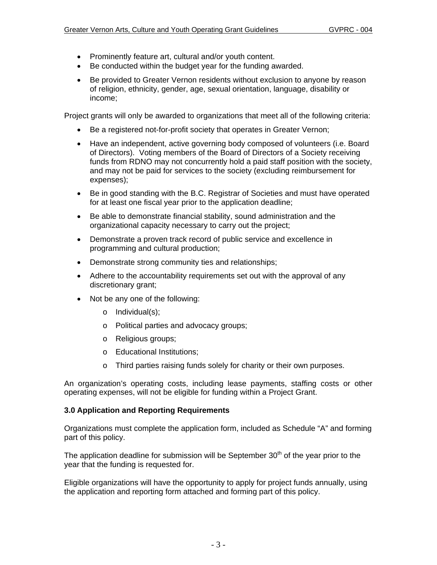- Prominently feature art, cultural and/or youth content.
- Be conducted within the budget year for the funding awarded.
- Be provided to Greater Vernon residents without exclusion to anyone by reason of religion, ethnicity, gender, age, sexual orientation, language, disability or income;

Project grants will only be awarded to organizations that meet all of the following criteria:

- Be a registered not-for-profit society that operates in Greater Vernon;
- Have an independent, active governing body composed of volunteers (i.e. Board of Directors). Voting members of the Board of Directors of a Society receiving funds from RDNO may not concurrently hold a paid staff position with the society, and may not be paid for services to the society (excluding reimbursement for expenses);
- Be in good standing with the B.C. Registrar of Societies and must have operated for at least one fiscal year prior to the application deadline;
- Be able to demonstrate financial stability, sound administration and the organizational capacity necessary to carry out the project;
- Demonstrate a proven track record of public service and excellence in programming and cultural production;
- Demonstrate strong community ties and relationships;
- Adhere to the accountability requirements set out with the approval of any discretionary grant;
- Not be any one of the following:
	- o Individual(s);
	- o Political parties and advocacy groups;
	- o Religious groups;
	- o Educational Institutions;
	- o Third parties raising funds solely for charity or their own purposes.

An organization's operating costs, including lease payments, staffing costs or other operating expenses, will not be eligible for funding within a Project Grant.

## **3.0 Application and Reporting Requirements**

Organizations must complete the application form, included as Schedule "A" and forming part of this policy.

The application deadline for submission will be September  $30<sup>th</sup>$  of the year prior to the year that the funding is requested for.

Eligible organizations will have the opportunity to apply for project funds annually, using the application and reporting form attached and forming part of this policy.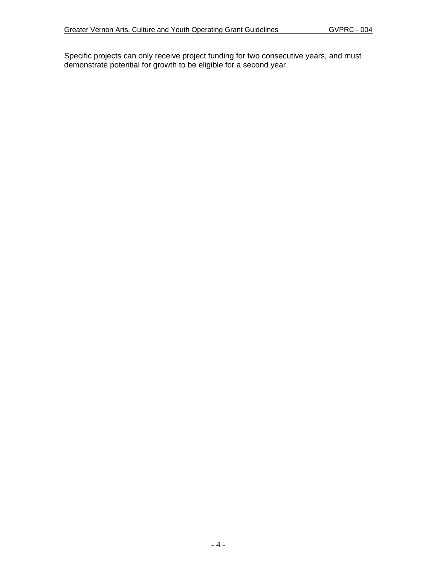Specific projects can only receive project funding for two consecutive years, and must demonstrate potential for growth to be eligible for a second year.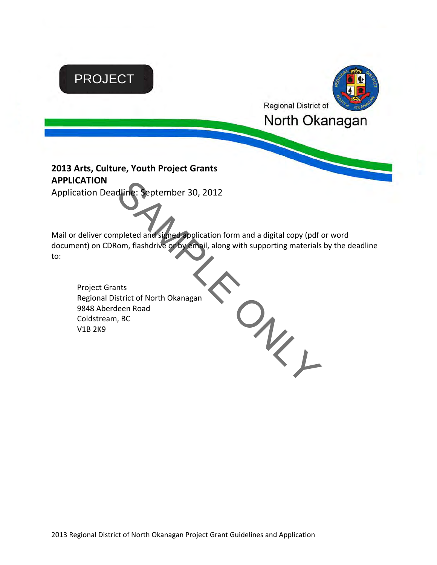

 $O_{\!\!k_{\!\scriptscriptstyle L}}$ 

Project Grants Regional District of North Okanagan 9848 Aberdeen Road Coldstream, BC V1B 2K9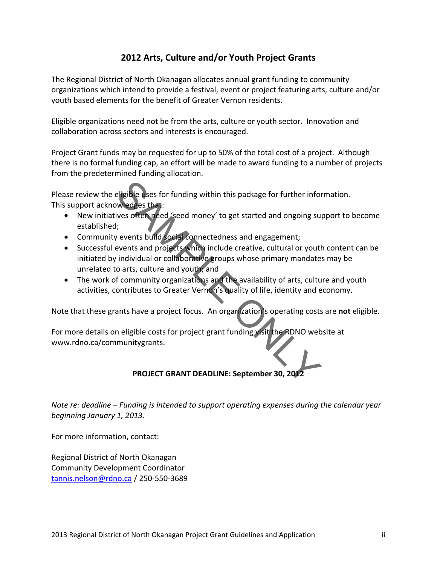# **2012 Arts, Culture and/or Youth Project Grants**

The Regional District of North Okanagan allocates annual grant funding to community organizations which intend to provide a festival, event or project featuring arts, culture and/or youth based elements for the benefit of Greater Vernon residents.

Eligible organizations need not be from the arts, culture or youth sector. Innovation and collaboration across sectors and interests is encouraged.

Project Grant funds may be requested for up to 50% of the total cost of a project. Although there is no formal funding cap, an effort will be made to award funding to a number of projects from the predetermined funding allocation.

Please review the eligible uses for funding within this package for further information. This support acknowledges that:

- New initiatives often need 'seed money' to get started and ongoing support to become established;
- Community events build social connectedness and engagement;
- Successful events and projects which include creative, cultural or youth content can be initiated by individual or collaborative groups whose primary mandates may be unrelated to arts, culture and youth; and eligible uses for funding within this package for further information and the subset of term and the solet of term and one of term and one of term and projects which include creative, cultural or youttindividual or collabo
- The work of community organizations and the availability of arts, culture and youth activities, contributes to Greater Vernon's quality of life, identity and economy.

Note that these grants have a project focus. An organization's operating costs are **not** eligible.

For more details on eligible costs for project grant funding visit the RDNO website at www.rdno.ca/communitygrants.

# **PROJECT GRANT DEADLINE: September 30, 2012**

*Note re: deadline – Funding is intended to support operating expenses during the calendar year beginning January 1, 2013.*

For more information, contact:

Regional District of North Okanagan Community Development Coordinator tannis.nelson@rdno.ca / 250‐550‐3689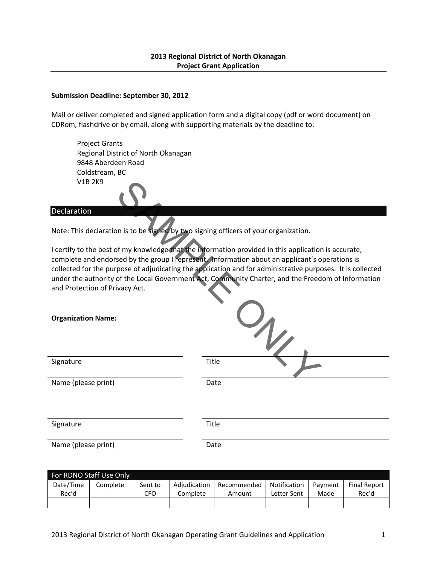### **2013 Regional District of North Okanagan Project Grant Application**

#### **Submission Deadline: September 30, 2012**

Mail or deliver completed and signed application form and a digital copy (pdf or word document) on CDRom, flashdrive or by email, along with supporting materials by the deadline to:

Project Grants Regional District of North Okanagan 9848 Aberdeen Road Coldstream, BC V1B 2K9

#### **Declaration**

| <b>V1B 2K9</b>                                                                       |                                                                                                                                                                                                                                                                                                                                                                                                                            |
|--------------------------------------------------------------------------------------|----------------------------------------------------------------------------------------------------------------------------------------------------------------------------------------------------------------------------------------------------------------------------------------------------------------------------------------------------------------------------------------------------------------------------|
| Declaration                                                                          |                                                                                                                                                                                                                                                                                                                                                                                                                            |
| Note: This declaration is to be signed by two signing officers of your organization. |                                                                                                                                                                                                                                                                                                                                                                                                                            |
|                                                                                      | I certify to the best of my knowledge that the information provided in this application is accurate,<br>complete and endorsed by the group I represent. Information about an applicant's operations is<br>collected for the purpose of adjudicating the application and for administrative purposes. It is collected<br>under the authority of the Local Government Act, Community Charter, and the Freedom of Information |
| and Protection of Privacy Act.                                                       |                                                                                                                                                                                                                                                                                                                                                                                                                            |
| <b>Organization Name:</b>                                                            |                                                                                                                                                                                                                                                                                                                                                                                                                            |
|                                                                                      |                                                                                                                                                                                                                                                                                                                                                                                                                            |
| Signature                                                                            | <b>Title</b>                                                                                                                                                                                                                                                                                                                                                                                                               |
| Name (please print)                                                                  | Date                                                                                                                                                                                                                                                                                                                                                                                                                       |
|                                                                                      |                                                                                                                                                                                                                                                                                                                                                                                                                            |
| Signature                                                                            | Title                                                                                                                                                                                                                                                                                                                                                                                                                      |
| Name (please print)                                                                  | Date                                                                                                                                                                                                                                                                                                                                                                                                                       |

| For RDNO Staff Use Only |          |         |              |             |              |         |                     |
|-------------------------|----------|---------|--------------|-------------|--------------|---------|---------------------|
| Date/Time               | Complete | Sent to | Adiudication | Recommended | Notification | Payment | <b>Final Report</b> |
| Rec'd                   |          | CFO     | Complete     | Amount      | Letter Sent  | Made    | Rec'd               |
|                         |          |         |              |             |              |         |                     |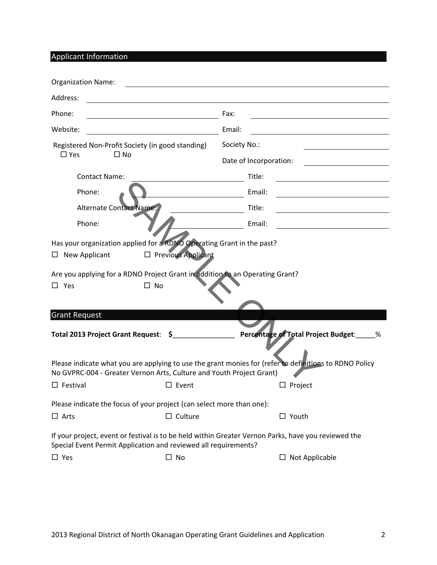Applicant Information

| <b>Organization Name:</b>                        |                                                                                                                                   |                                                                                                        |
|--------------------------------------------------|-----------------------------------------------------------------------------------------------------------------------------------|--------------------------------------------------------------------------------------------------------|
| Address:                                         |                                                                                                                                   |                                                                                                        |
| Phone:                                           |                                                                                                                                   | Fax:                                                                                                   |
| Website:                                         |                                                                                                                                   | Email:                                                                                                 |
| Registered Non-Profit Society (in good standing) |                                                                                                                                   | Society No.:                                                                                           |
| $\Box$ Yes<br>$\Box$ No                          |                                                                                                                                   | Date of Incorporation:                                                                                 |
| <b>Contact Name:</b>                             |                                                                                                                                   | Title:                                                                                                 |
| Phone:                                           |                                                                                                                                   | Email:                                                                                                 |
| Alternate Contact Name:                          |                                                                                                                                   | Title:                                                                                                 |
| Phone:                                           |                                                                                                                                   | Email:                                                                                                 |
| $\Box$ Yes<br><b>Grant Request</b>               | Are you applying for a RDNO Project Grant in addition to an Operating Grant?<br>$\Box$ No<br>Total 2013 Project Grant Request: \$ | Percentage of Total Project Budget:____<br>%                                                           |
|                                                  |                                                                                                                                   |                                                                                                        |
|                                                  | No GVPRC-004 - Greater Vernon Arts, Culture and Youth Project Grant)                                                              | Please indicate what you are applying to use the grant monies for (refer to definitions to RDNO Policy |
| $\Box$ Festival                                  | $\Box$ Event                                                                                                                      | $\square$ Project                                                                                      |
|                                                  | Please indicate the focus of your project (can select more than one):                                                             |                                                                                                        |
| $\Box$ Arts                                      | $\Box$ Culture                                                                                                                    | $\Box$ Youth                                                                                           |
|                                                  | Special Event Permit Application and reviewed all requirements?                                                                   | If your project, event or festival is to be held within Greater Vernon Parks, have you reviewed the    |
| $\square$ Yes                                    | $\Box$ No                                                                                                                         | $\Box$ Not Applicable                                                                                  |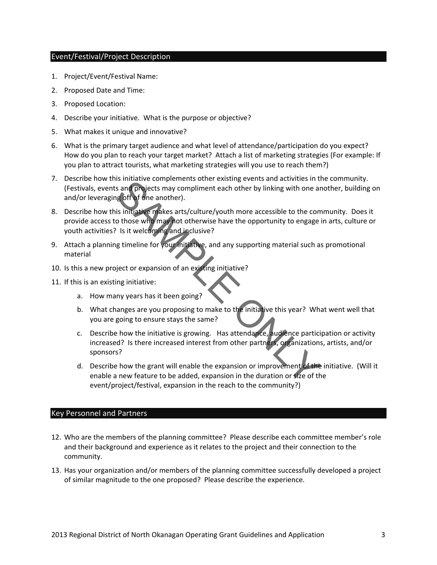### Event/Festival/Project Description

- 1. Project/Event/Festival Name:
- 2. Proposed Date and Time:
- 3. Proposed Location:
- 4. Describe your initiative. What is the purpose or objective?
- 5. What makes it unique and innovative?
- 6. What is the primary target audience and what level of attendance/participation do you expect? How do you plan to reach your target market? Attach a list of marketing strategies (For example: If you plan to attract tourists, what marketing strategies will you use to reach them?)
- 7. Describe how this initiative complements other existing events and activities in the community. (Festivals, events and projects may compliment each other by linking with one another, building on and/or leveraging off of one another).
- 8. Describe how this initiative makes arts/culture/youth more accessible to the community. Does it provide access to those who may not otherwise have the opportunity to engage in arts, culture or youth activities? Is it welcoming and inclusive? Is initiative complements other existing events and activities in it<br>s and projects may compliment each other by linking with one an<br>is initiative makes arts/culture/youth more accessible to the complements<br>is initiative m
- 9. Attach a planning timeline for your initiative, and any supporting material such as promotional material
- 10. Is this a new project or expansion of an existing initiative?
- 11. If this is an existing initiative:
	- a. How many years has it been going?
	- b. What changes are you proposing to make to the initiative this year? What went well that you are going to ensure stays the same?
	- c. Describe how the initiative is growing. Has attendance, audience participation or activity increased? Is there increased interest from other partners, organizations, artists, and/or sponsors?
	- d. Describe how the grant will enable the expansion or improvement of the initiative. (Will it enable a new feature to be added, expansion in the duration or size of the event/project/festival, expansion in the reach to the community?)

#### Key Personnel and Partners

- 12. Who are the members of the planning committee? Please describe each committee member's role and their background and experience as it relates to the project and their connection to the community.
- 13. Has your organization and/or members of the planning committee successfully developed a project of similar magnitude to the one proposed? Please describe the experience.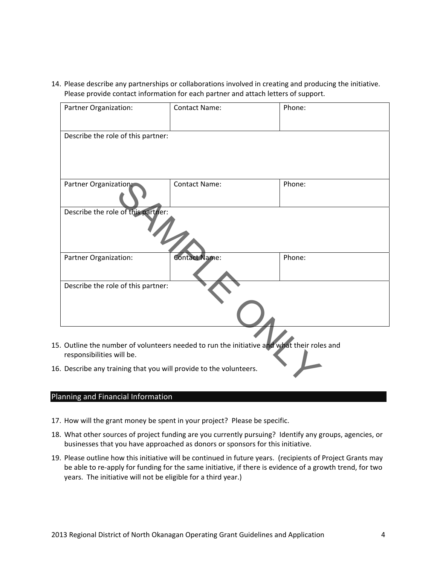14. Please describe any partnerships or collaborations involved in creating and producing the initiative. Please provide contact information for each partner and attach letters of support.

| Partner Organization:                                                                                                   | <b>Contact Name:</b> | Phone: |
|-------------------------------------------------------------------------------------------------------------------------|----------------------|--------|
| Describe the role of this partner:                                                                                      |                      |        |
| Partner Organization:                                                                                                   | <b>Contact Name:</b> | Phone: |
| Describe the role of this partner:                                                                                      |                      |        |
| Partner Organization:                                                                                                   | <b>Contact Name:</b> | Phone: |
| Describe the role of this partner:                                                                                      |                      |        |
| 15. Outline the number of volunteers needed to run the initiative and what their roles and<br>responsibilities will be. |                      |        |
| 16. Describe any training that you will provide to the volunteers.                                                      |                      |        |

## Planning and Financial Information

- 17. How will the grant money be spent in your project? Please be specific.
- 18. What other sources of project funding are you currently pursuing? Identify any groups, agencies, or businesses that you have approached as donors or sponsors for this initiative.
- 19. Please outline how this initiative will be continued in future years. (recipients of Project Grants may be able to re-apply for funding for the same initiative, if there is evidence of a growth trend, for two years. The initiative will not be eligible for a third year.)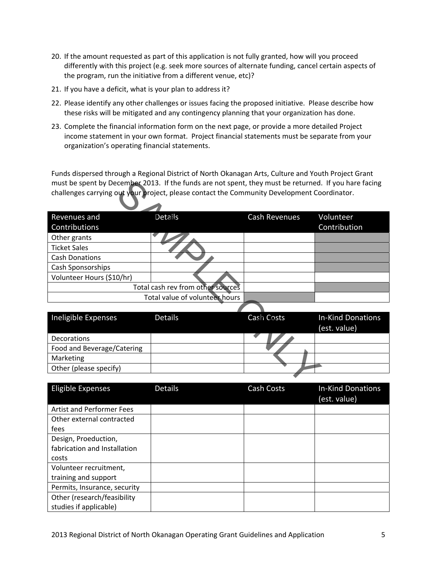- 20. If the amount requested as part of this application is not fully granted, how will you proceed differently with this project (e.g. seek more sources of alternate funding, cancel certain aspects of the program, run the initiative from a different venue, etc)?
- 21. If you have a deficit, what is your plan to address it?
- 22. Please identify any other challenges or issues facing the proposed initiative. Please describe how these risks will be mitigated and any contingency planning that your organization has done.
- 23. Complete the financial information form on the next page, or provide a more detailed Project income statement in your own format. Project financial statements must be separate from your organization's operating financial statements.

Funds dispersed through a Regional District of North Okanagan Arts, Culture and Youth Project Grant must be spent by December 2013. If the funds are not spent, they must be returned. If you hare facing challenges carrying out your project, please contact the Community Development Coordinator.

| must be spent by December 2013. If the funds are not spent, they must be returned. If you hare facing |                                   |                      |                          |  |  |
|-------------------------------------------------------------------------------------------------------|-----------------------------------|----------------------|--------------------------|--|--|
| challenges carrying out your project, please contact the Community Development Coordinator.           |                                   |                      |                          |  |  |
|                                                                                                       |                                   |                      |                          |  |  |
| Revenues and                                                                                          | Details                           | <b>Cash Revenues</b> | Volunteer                |  |  |
| Contributions                                                                                         |                                   |                      | Contribution             |  |  |
| Other grants                                                                                          |                                   |                      |                          |  |  |
| <b>Ticket Sales</b>                                                                                   |                                   |                      |                          |  |  |
| <b>Cash Donations</b>                                                                                 |                                   |                      |                          |  |  |
| Cash Sponsorships                                                                                     |                                   |                      |                          |  |  |
| Volunteer Hours (\$10/hr)                                                                             |                                   |                      |                          |  |  |
|                                                                                                       | Total cash rev from other sources |                      |                          |  |  |
|                                                                                                       | Total value of volunteer hours    |                      |                          |  |  |
|                                                                                                       |                                   |                      |                          |  |  |
| Ineligible Expenses                                                                                   | <b>Details</b>                    | Cash Costs           | <b>In-Kind Donations</b> |  |  |
|                                                                                                       |                                   |                      | (est. value)             |  |  |
| Decorations                                                                                           |                                   |                      |                          |  |  |
| Food and Beverage/Catering                                                                            |                                   |                      |                          |  |  |
| Marketing                                                                                             |                                   |                      |                          |  |  |
| Other (please specify)                                                                                |                                   |                      |                          |  |  |
|                                                                                                       |                                   |                      |                          |  |  |

| Ineligible Expenses        | <b>Details</b> | Cash Costs | <b>In-Kind Donations</b><br>(est. value) |  |
|----------------------------|----------------|------------|------------------------------------------|--|
| <b>Decorations</b>         |                |            |                                          |  |
| Food and Beverage/Catering |                |            |                                          |  |
| Marketing                  |                |            |                                          |  |
| Other (please specify)     |                |            |                                          |  |

| Eligible Expenses                                    | <b>Details</b> | Cash Costs | <b>In-Kind Donations</b><br>(est. value) |
|------------------------------------------------------|----------------|------------|------------------------------------------|
| <b>Artist and Performer Fees</b>                     |                |            |                                          |
| Other external contracted                            |                |            |                                          |
| fees                                                 |                |            |                                          |
| Design, Proeduction,<br>fabrication and Installation |                |            |                                          |
| costs                                                |                |            |                                          |
| Volunteer recruitment,                               |                |            |                                          |
| training and support                                 |                |            |                                          |
| Permits, Insurance, security                         |                |            |                                          |
| Other (research/feasibility                          |                |            |                                          |
| studies if applicable)                               |                |            |                                          |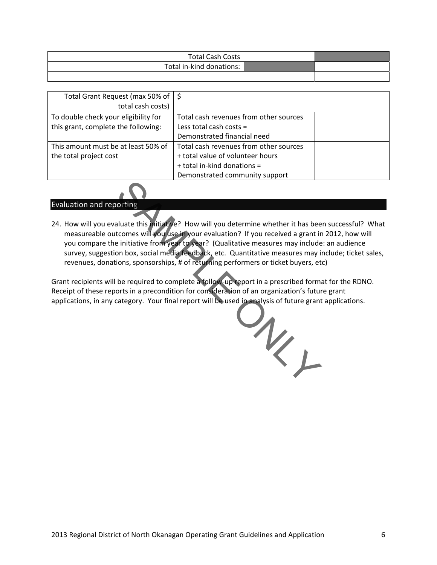| Total Cash Costs         |  |
|--------------------------|--|
| Total in-kind donations: |  |
|                          |  |

| Total Grant Request (max 50% of $\frac{1}{5}$<br>total cash costs) |                                        |  |
|--------------------------------------------------------------------|----------------------------------------|--|
| To double check your eligibility for                               | Total cash revenues from other sources |  |
| this grant, complete the following:                                | Less total cash costs $=$              |  |
|                                                                    | Demonstrated financial need            |  |
| This amount must be at least 50% of                                | Total cash revenues from other sources |  |
| the total project cost                                             | + total value of volunteer hours       |  |
|                                                                    | + total in-kind donations =            |  |
|                                                                    | Demonstrated community support         |  |

## Evaluation and reporting

24. How will you evaluate this initiative? How will you determine whether it has been successful? What measureable outcomes will you use in your evaluation? If you received a grant in 2012, how will you compare the initiative from year to year? (Qualitative measures may include: an audience survey, suggestion box, social media feedback, etc. Quantitative measures may include; ticket sales, revenues, donations, sponsorships, # of returning performers or ticket buyers, etc)

Grant recipients will be required to complete a follow‐up report in a prescribed format for the RDNO. Receipt of these reports in a precondition for consideration of an organization's future grant applications, in any category. Your final report will be used in analysis of future grant applications.

ONLY